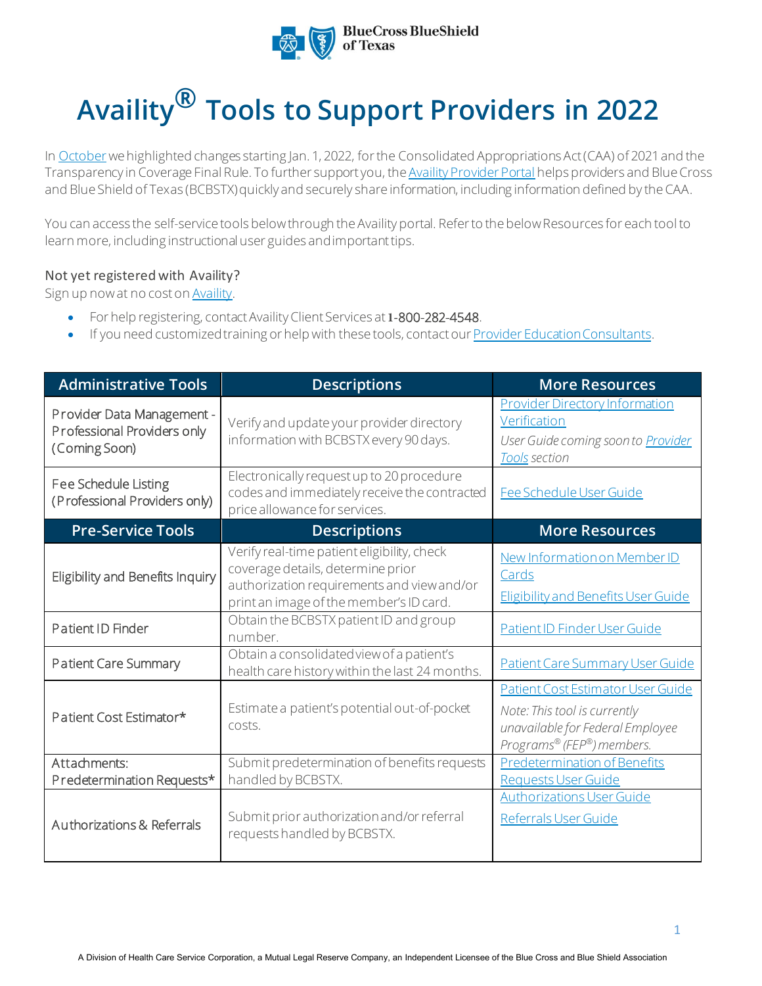

## **Availity® Tools to Support Providers in 2022**

In [October](https://www.bcbstx.com/provider/pdf/caa-transparency-coverage.pdf) we highlighted changes starting Jan. 1, 2022, for the Consolidated Appropriations Act (CAA) of 2021 and the Transparency in Coverage Final Rule. To further support you, th[e Availity Provider Portal](https://www.availity.com/) helps providers and Blue Cross and Blue Shield of Texas (BCBSTX) quickly and securely share information, including information defined by the CAA.

You can access the self-service tools below through the Availity portal. Refer to the below Resources for each tool to learn more, including instructional user guides and important tips.

## Not yet registered with [Availity?](http://www.availity.com/)

Sign up now at no cost on **Availity**.

- For help registering, contact Availity Client Services at **1-**800-282-4548.
- If you need customized training or help with these tools, contact ou[r Provider Education Consultants.](mailto:PECS@bcbstx.com)

| <b>Administrative Tools</b>                                                | <b>Descriptions</b>                                                                                                                                                       | <b>More Resources</b>                                                                                                              |
|----------------------------------------------------------------------------|---------------------------------------------------------------------------------------------------------------------------------------------------------------------------|------------------------------------------------------------------------------------------------------------------------------------|
| Provider Data Management -<br>Professional Providers only<br>(Coming Soon) | Verify and update your provider directory<br>information with BCBSTX every 90 days.                                                                                       | <b>Provider Directory Information</b><br>Verification<br>User Guide coming soon to <b>Provider</b><br>Tools section                |
| Fee Schedule Listing<br>(Professional Providers only)                      | Electronically request up to 20 procedure<br>codes and immediately receive the contracted<br>price allowance for services.                                                | Fee Schedule User Guide                                                                                                            |
| <b>Pre-Service Tools</b>                                                   | <b>Descriptions</b>                                                                                                                                                       | <b>More Resources</b>                                                                                                              |
| Eligibility and Benefits Inquiry                                           | Verify real-time patient eligibility, check<br>coverage details, determine prior<br>authorization requirements and view and/or<br>print an image of the member's ID card. | New Information on Member ID<br>Cards<br>Eligibility and Benefits User Guide                                                       |
| Patient ID Finder                                                          | Obtain the BCBSTX patient ID and group<br>number.                                                                                                                         | <b>Patient ID Finder User Guide</b>                                                                                                |
| Patient Care Summary                                                       | Obtain a consolidated view of a patient's<br>health care history within the last 24 months.                                                                               | Patient Care Summary User Guide                                                                                                    |
| Patient Cost Estimator*                                                    | Estimate a patient's potential out-of-pocket<br>costs.                                                                                                                    | Patient Cost Estimator User Guide<br>Note: This tool is currently<br>unavailable for Federal Employee<br>Programs® (FEP®) members. |
| Attachments:<br>Predetermination Requests*                                 | Submit predetermination of benefits requests<br>handled by BCBSTX.                                                                                                        | <b>Predetermination of Benefits</b><br><b>Requests User Guide</b>                                                                  |
| Authorizations & Referrals                                                 | Submit prior authorization and/or referral<br>requests handled by BCBSTX.                                                                                                 | <b>Authorizations User Guide</b><br>Referrals User Guide                                                                           |